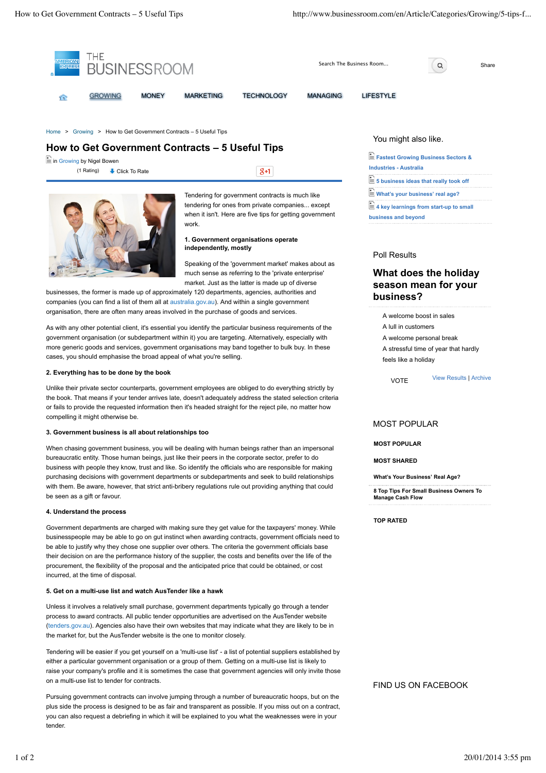

process to award contracts. All public tender opportunities are advertised on the AusTender website (tenders.gov.au). Agencies also have their own websites that may indicate what they are likely to be in the market for, but the AusTender website is the one to monitor closely.

Tendering will be easier if you get yourself on a 'multi-use list' - a list of potential suppliers established by either a particular government organisation or a group of them. Getting on a multi-use list is likely to raise your company's profile and it is sometimes the case that government agencies will only invite those on a multi-use list to tender for contracts.

Pursuing government contracts can involve jumping through a number of bureaucratic hoops, but on the plus side the process is designed to be as fair and transparent as possible. If you miss out on a contract, you can also request a debriefing in which it will be explained to you what the weaknesses were in your tender.

## FIND US ON FACEBOOK